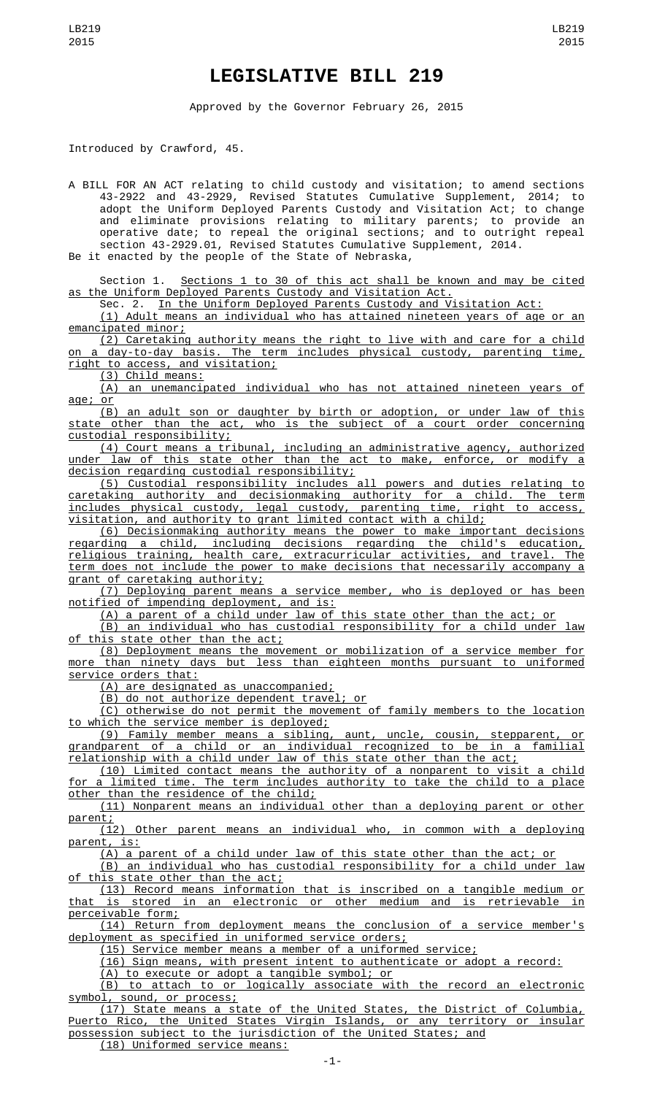## **LEGISLATIVE BILL 219**

Approved by the Governor February 26, 2015

Introduced by Crawford, 45.

A BILL FOR AN ACT relating to child custody and visitation; to amend sections 43-2922 and 43-2929, Revised Statutes Cumulative Supplement, 2014; to adopt the Uniform Deployed Parents Custody and Visitation Act; to change and eliminate provisions relating to military parents; to provide an operative date; to repeal the original sections; and to outright repeal section 43-2929.01, Revised Statutes Cumulative Supplement, 2014. Be it enacted by the people of the State of Nebraska,

Section 1. Sections 1 to 30 of this act shall be known and may be cited as the Uniform Deployed Parents Custody and Visitation Act.

Sec. 2. In the Uniform Deployed Parents Custody and Visitation Act:

(1) Adult means an individual who has attained nineteen years of age or an emancipated minor;

(2) Caretaking authority means the right to live with and care for a child a day-to-day basis. The term includes physical custody, parenting time, right to access, and visitation;

(3) Child means:

(A) an unemancipated individual who has not attained nineteen years of age; or

(B) an adult son or daughter by birth or adoption, or under law of this state other than the act, who is the subject of a court order concerning custodial responsibility;

(4) Court means a tribunal, including an administrative agency, authorized under law of this state other than the act to make, enforce, or modify a decision regarding custodial responsibility;

(5) Custodial responsibility includes all powers and duties relating to caretaking authority and decisionmaking authority for a child. The term includes physical custody, legal custody, parenting time, right to access, visitation, and authority to grant limited contact with a child;

(6) Decisionmaking authority means the power to make important decisions regarding a child, including decisions regarding the child's education, religious training, health care, extracurricular activities, and travel. The term does not include the power to make decisions that necessarily accompany a grant of caretaking authority;

(7) Deploying parent means a service member, who is deployed or has been notified of impending deployment, and is:

(A) a parent of a child under law of this state other than the act; or

(B) an individual who has custodial responsibility for a child under law of this state other than the act;

(8) Deployment means the movement or mobilization of a service member for more than ninety days but less than eighteen months pursuant to uniformed service orders that:

(A) are designated as unaccompanied;

(B) do not authorize dependent travel; or

(C) otherwise do not permit the movement of family members to the location to which the service member is deployed;

(9) Family member means a sibling, aunt, uncle, cousin, stepparent, or grandparent of a child or an individual recognized to be in a familial relationship with a child under law of this state other than the act;

(10) Limited contact means the authority of a nonparent to visit a child for a limited time. The term includes authority to take the child to a place other than the residence of the child;

(11) Nonparent means an individual other than a deploying parent or other

<u>parent;</u><br><u>(12</u>) Other parent means an individual who, in common with a deploying parent, is:

(A) a parent of a child under law of this state other than the act; or

(B) an individual who has custodial responsibility for a child under law of this state other than the act;

(13) Record means information that is inscribed on a tangible medium or that is stored in an electronic or other medium and is retrievable in perceivable form;

(14) Return from deployment means the conclusion of a service member's deployment as specified in uniformed service orders;

(15) Service member means a member of a uniformed service;

(16) Sign means, with present intent to authenticate or adopt a record:

(A) to execute or adopt a tangible symbol; or

(B) to attach to or logically associate with the record an electronic symbol, sound, or process;

(17) State means a state of the United States, the District of Columbia, Puerto Rico, the United States Virgin Islands, or any territory or insular possession subject to the jurisdiction of the United States; and (18) Uniformed service means: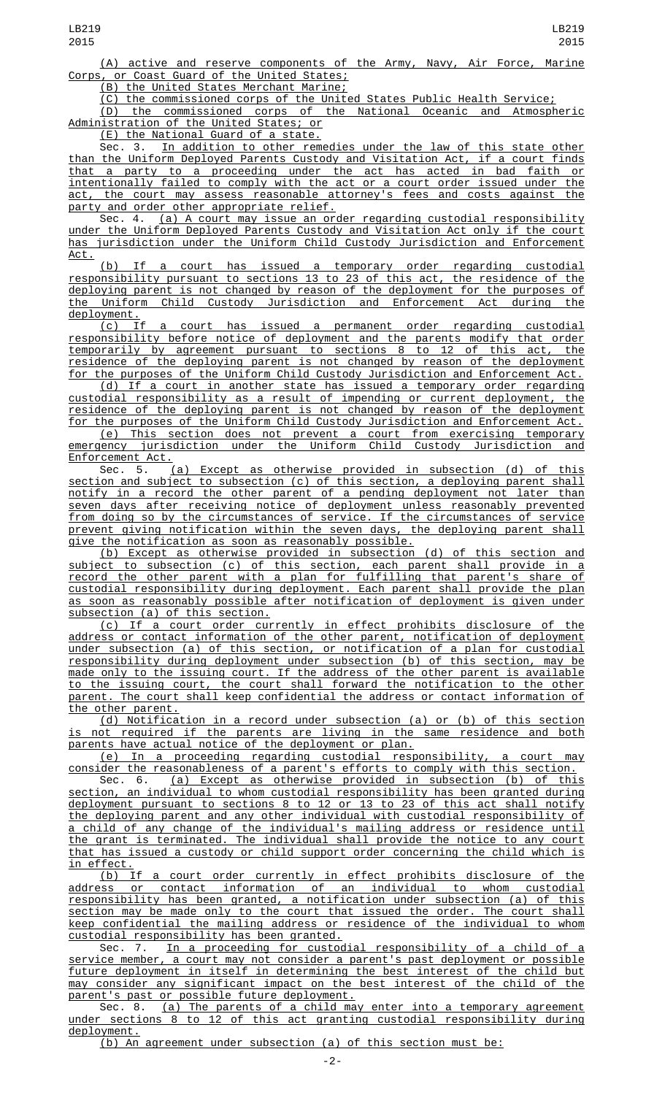(A) active and reserve components of the Army, Navy, Air Force, Marine Corps, or Coast Guard of the United States;

(B) the United States Merchant Marine;

(C) the commissioned corps of the United States Public Health Service;

(D) the commissioned corps of the National Oceanic and Atmospheric Administration of the United States; or

(E) the National Guard of a state.

Sec. 3. In addition to other remedies under the law of this state other than the Uniform Deployed Parents Custody and Visitation Act, if a court finds that a party to a proceeding under the act has acted in bad faith or intentionally failed to comply with the act or a court order issued under the act, the court may assess reasonable attorney's fees and costs against the party and order other appropriate relief.

Sec. 4. (a) A court may issue an order regarding custodial responsibility under the Uniform Deployed Parents Custody and Visitation Act only if the court has jurisdiction under the Uniform Child Custody Jurisdiction and Enforcement Act.

(b) If a court has issued a temporary order regarding custodial responsibility pursuant to sections 13 to 23 of this act, the residence of the deploying parent is not changed by reason of the deployment for the purposes of <u>Uniform Child Custody Jurisdiction and Enforcement Act during the</u> deployment.

(c) If a court has issued a permanent order regarding custodial responsibility before notice of deployment and the parents modify that order temporarily by agreement pursuant to sections 8 to 12 of this act, the residence of the deploying parent is not changed by reason of the deployment for the purposes of the Uniform Child Custody Jurisdiction and Enforcement Act.

(d) If a court in another state has issued a temporary order regarding custodial responsibility as a result of impending or current deployment, the residence of the deploying parent is not changed by reason of the deployment for the purposes of the Uniform Child Custody Jurisdiction and Enforcement Act.

(e) This section does not prevent a court from exercising temporary emergency jurisdiction under the Uniform Child Custody Jurisdiction and Enforcement Act.

Sec. 5. (a) Except as otherwise provided in subsection (d) of this section and subject to subsection (c) of this section, a deploying parent shall notify in a record the other parent of a pending deployment not later than seven days after receiving notice of deployment unless reasonably prevented from doing so by the circumstances of service. If the circumstances of service prevent giving notification within the seven days, the deploying parent shall give the notification as soon as reasonably possible.

(b) Except as otherwise provided in subsection (d) of this section and subject to subsection (c) of this section, each parent shall provide in a record the other parent with a plan for fulfilling that parent's share of custodial responsibility during deployment. Each parent shall provide the plan as soon as reasonably possible after notification of deployment is given under subsection (a) of this section.

(c) If a court order currently in effect prohibits disclosure of the address or contact information of the other parent, notification of deployment under subsection (a) of this section, or notification of a plan for custodial responsibility during deployment under subsection (b) of this section, may be made only to the issuing court. If the address of the other parent is available to the issuing court, the court shall forward the notification to the other parent. The court shall keep confidential the address or contact information of the other parent.

(d) Notification in a record under subsection (a) or (b) of this section not required if the parents are living in the same residence and both parents have actual notice of the deployment or plan.

(e) In a proceeding regarding custodial responsibility, a court may consider the reasonableness of a parent's efforts to comply with this section.

Sec. 6. (a) Except as otherwise provided in subsection (b) of this section, an individual to whom custodial responsibility has been granted during deployment pursuant to sections 8 to 12 or 13 to 23 of this act shall notify the deploying parent and any other individual with custodial responsibility of a child of any change of the individual's mailing address or residence until the grant is terminated. The individual shall provide the notice to any court that has issued a custody or child support order concerning the child which is

<u>in effect.</u><br>(b) If (b) If a court order currently in effect prohibits disclosure of the address or contact information of an individual to whom custodial responsibility has been granted, a notification under subsection (a) of this section may be made only to the court that issued the order. The court shall keep confidential the mailing address or residence of the individual to whom custodial responsibility has been granted.

7. In a proceeding for custodial responsibility of a child of service member, a court may not consider a parent's past deployment or possible future deployment in itself in determining the best interest of the child but may consider any significant impact on the best interest of the child of the parent's past or possible future deployment.

Sec. 8. (a) The parents of a child may enter into a temporary agreement under sections 8 to 12 of this act granting custodial responsibility during deployment.

(b) An agreement under subsection (a) of this section must be: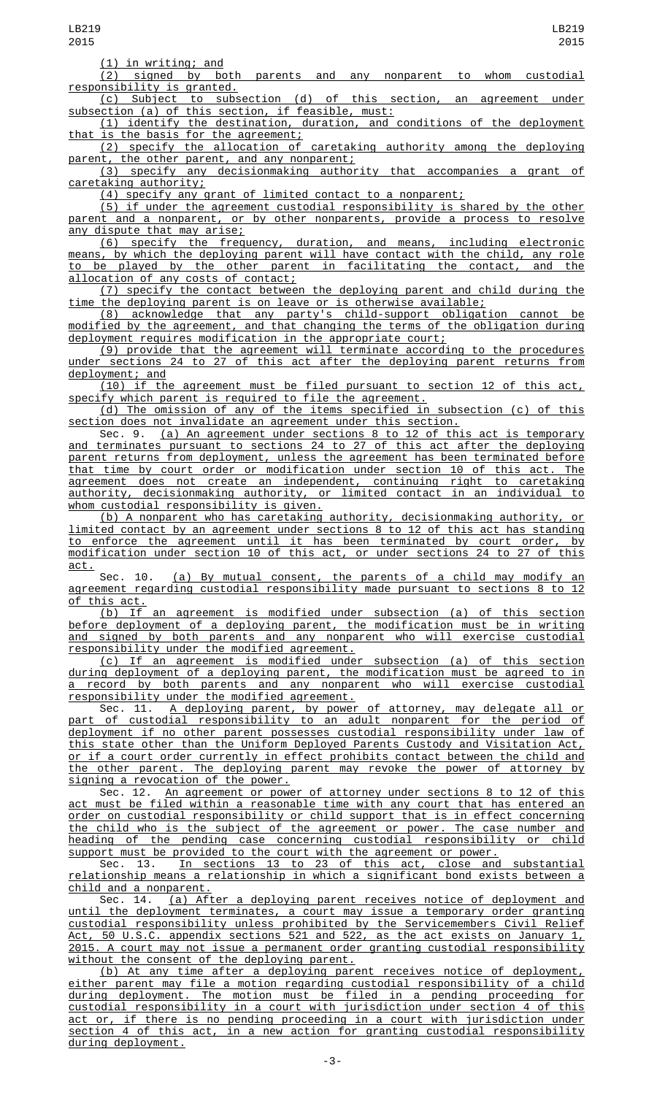(1) in writing; and

(2) signed by both parents and any nonparent to whom custodial responsibility is granted.

(c) Subject to subsection (d) of this section, an agreement under subsection (a) of this section, if feasible, must:

(1) identify the destination, duration, and conditions of the deployment that is the basis for the agreement;

(2) specify the allocation of caretaking authority among the deploying parent, the other parent, and any nonparent;

(3) specify any decisionmaking authority that accompanies a grant of caretaking authority;

(4) specify any grant of limited contact to a nonparent;

(5) if under the agreement custodial responsibility is shared by the other parent and a nonparent, or by other nonparents, provide a process to resolve any dispute that may arise;

(6) specify the frequency, duration, and means, including electronic means, by which the deploying parent will have contact with the child, any role to be played by the other parent in facilitating the contact, and the allocation of any costs of contact;

(7) specify the contact between the deploying parent and child during the time the deploying parent is on leave or is otherwise available;

(8) acknowledge that any party's child-support obligation cannot be modified by the agreement, and that changing the terms of the obligation during deployment requires modification in the appropriate court;

(9) provide that the agreement will terminate according to the procedures under sections 24 to 27 of this act after the deploying parent returns from deployment; and

(10) if the agreement must be filed pursuant to section 12 of this act, specify which parent is required to file the agreement.

(d) The omission of any of the items specified in subsection (c) of this section does not invalidate an agreement under this section.

Sec. 9. (a) An agreement under sections 8 to 12 of this act is temporary and terminates pursuant to sections 24 to 27 of this act after the deploying parent returns from deployment, unless the agreement has been terminated before that time by court order or modification under section 10 of this act. The agreement does not create an independent, continuing right to caretaking authority, decisionmaking authority, or limited contact in an individual to whom custodial responsibility is given.

(b) A nonparent who has caretaking authority, decisionmaking authority, or limited contact by an agreement under sections 8 to 12 of this act has standing to enforce the agreement until it has been terminated by court order, by modification under section 10 of this act, or under sections 24 to 27 of this act.

Sec. 10. (a) By mutual consent, the parents of a child may modify an agreement regarding custodial responsibility made pursuant to sections 8 to 12 of this act.

(b) If an agreement is modified under subsection (a) of this section before deployment of a deploying parent, the modification must be in writing and signed by both parents and any nonparent who will exercise custodial responsibility under the modified agreement.

(c) If an agreement is modified under subsection (a) of this section during deployment of a deploying parent, the modification must be agreed to in a record by both parents and any nonparent who will exercise custodial responsibility under the modified agreement.

Sec. 11. A deploying parent, by power of attorney, may delegate all or part of custodial responsibility to an adult nonparent for the period of deployment if no other parent possesses custodial responsibility under law of this state other than the Uniform Deployed Parents Custody and Visitation Act, or if a court order currently in effect prohibits contact between the child and the other parent. The deploying parent may revoke the power of attorney by signing a revocation of the power.

Sec. 12. An agreement or power of attorney under sections 8 to 12 of this act must be filed within a reasonable time with any court that has entered an order on custodial responsibility or child support that is in effect concerning the child who is the subject of the agreement or power. The case number and<br>heading of the pending case concerning custodial responsibility or child heading of the pending case concerning custodial responsibility or child support must be provided to the court with the agreement or power.

Sec. 13. In sections 13 to 23 of this act, close and substantial relationship means a relationship in which a significant bond exists between a child and a nonparent.

Sec. 14. (a) After a deploying parent receives notice of deployment and until the deployment terminates, a court may issue a temporary order granting custodial responsibility unless prohibited by the Servicemembers Civil Relief Act, 50 U.S.C. appendix sections 521 and 522, as the act exists on January 1, 2015. A court may not issue a permanent order granting custodial responsibility without the consent of the deploying parent.

(b) At any time after a deploying parent receives notice of deployment, either parent may file a motion regarding custodial responsibility of a child during deployment. The motion must be filed in a pending proceeding for custodial responsibility in a court with jurisdiction under section 4 of this act or, if there is no pending proceeding in a court with jurisdiction under section 4 of this act, in a new action for granting custodial responsibility during deployment.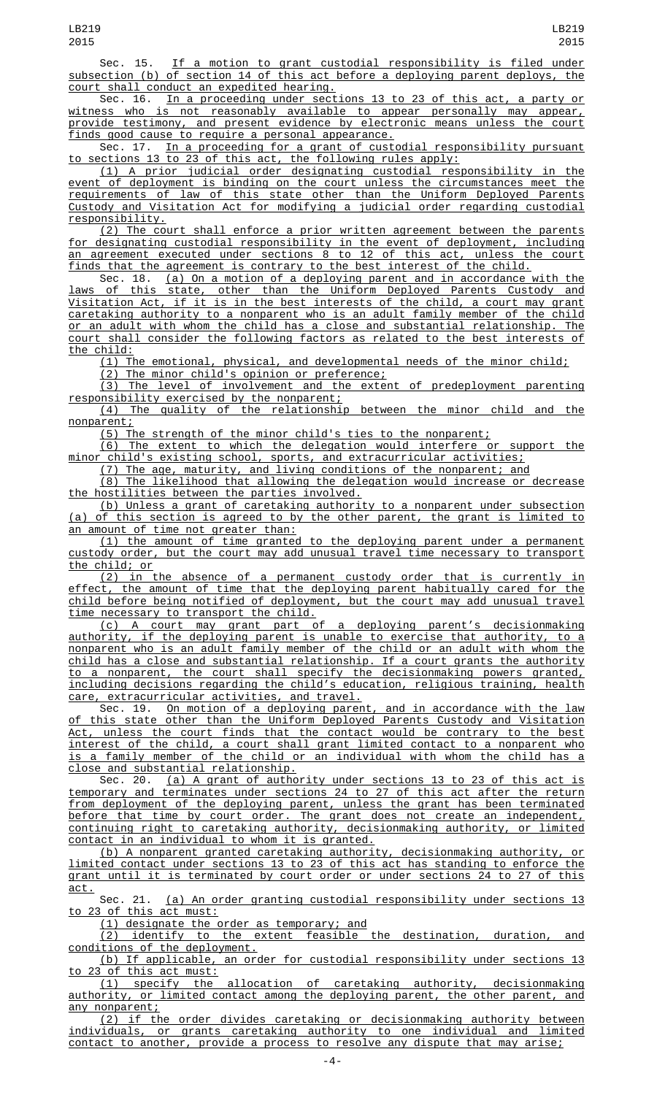Sec. 15. If a motion to grant custodial responsibility is filed under subsection (b) of section 14 of this act before a deploying parent deploys, the court shall conduct an expedited hearing.

Sec. 16. In a proceeding under sections 13 to 23 of this act, a party or witness who is not reasonably available to appear personally may appear, provide testimony, and present evidence by electronic means unless the court finds good cause to require a personal appearance.

Sec. 17. <u>In a proceeding for a grant of custodial responsibility pursuant</u> to sections 13 to 23 of this act, the following rules apply:

(1) A prior judicial order designating custodial responsibility in the event of deployment is binding on the court unless the circumstances meet the requirements of law of this state other than the Uniform Deployed Parents Custody and Visitation Act for modifying a judicial order regarding custodial responsibility.

(2) The court shall enforce a prior written agreement between the parents for designating custodial responsibility in the event of deployment, including an agreement executed under sections 8 to 12 of this act, unless the court finds that the agreement is contrary to the best interest of the child. finds that the agreement is contrary to the best interest of the child.

Sec. 18. (a) On a motion of a deploying parent and in accordance with the laws of this state, other than the Uniform Deployed Parents Custody and Visitation Act, if it is in the best interests of the child, a court may grant caretaking authority to a nonparent who is an adult family member of the child or an adult with whom the child has a close and substantial relationship. The court shall consider the following factors as related to the best interests of the child:

(1) The emotional, physical, and developmental needs of the minor child;

(2) The minor child's opinion or preference;

(3) The level of involvement and the extent of predeployment parenting responsibility exercised by the nonparent;

(4) The quality of the relationship between the minor child and the nonparent;

(5) The strength of the minor child's ties to the nonparent;

(6) The extent to which the delegation would interfere or support the minor child's existing school, sports, and extracurricular activities;

(7) The age, maturity, and living conditions of the nonparent; and

(8) The likelihood that allowing the delegation would increase or decrease the hostilities between the parties involved.

(b) Unless a grant of caretaking authority to a nonparent under subsection (a) of this section is agreed to by the other parent, the grant is limited to an amount of time not greater than:

(1) the amount of time granted to the deploying parent under a permanent custody order, but the court may add unusual travel time necessary to transport the child; or

(2) in the absence of a permanent custody order that is currently in effect, the amount of time that the deploying parent habitually cared for the child before being notified of deployment, but the court may add unusual travel time necessary to transport the child.<br>(c) A court may grant part of

a deploying parent's decisionmaking authority, if the deploying parent is unable to exercise that authority, to a nonparent who is an adult family member of the child or an adult with whom the child has a close and substantial relationship. If a court grants the authority to a nonparent, the court shall specify the decisionmaking powers granted, including decisions regarding the child's education, religious training, health care, extracurricular activities, and travel.

Sec. 19. <u>On motion of a deploying parent, and in accordance with the law</u> of this state other than the Uniform Deployed Parents Custody and Visitation Act, unless the court finds that the contact would be contrary to the best interest of the child, a court shall grant limited contact to a nonparent who is a family member of the child or an individual with whom the child has a close and substantial relationship.

Sec. 20. (a) A grant of authority under sections 13 to 23 of this act is temporary and terminates under sections 24 to 27 of this act after the return from deployment of the deploying parent, unless the grant has been terminated before that time by court order. The grant does not create an independent, continuing right to caretaking authority, decisionmaking authority, or limited contact in an individual to whom it is granted.

(b) A nonparent granted caretaking authority, decisionmaking authority, or limited contact under sections 13 to 23 of this act has standing to enforce the grant until it is terminated by court order or under sections 24 to 27 of this act.

Sec. 21. (a) An order granting custodial responsibility under sections 13 to 23 of this act must:

(1) designate the order as temporary; and<br>(2) identify to the extent feasible the destination, duration, (2) identify to the extent feasible the destination, duration, and conditions of the deployment.

(b) If applicable, an order for custodial responsibility under sections 13 to 23 of this act must:

(1) specify the allocation of caretaking authority, decisionmaking authority, or limited contact among the deploying parent, the other parent, and any nonparent;

(2) if the order divides caretaking or decisionmaking authority between individuals, or grants caretaking authority to one individual and limited contact to another, provide a process to resolve any dispute that may arise;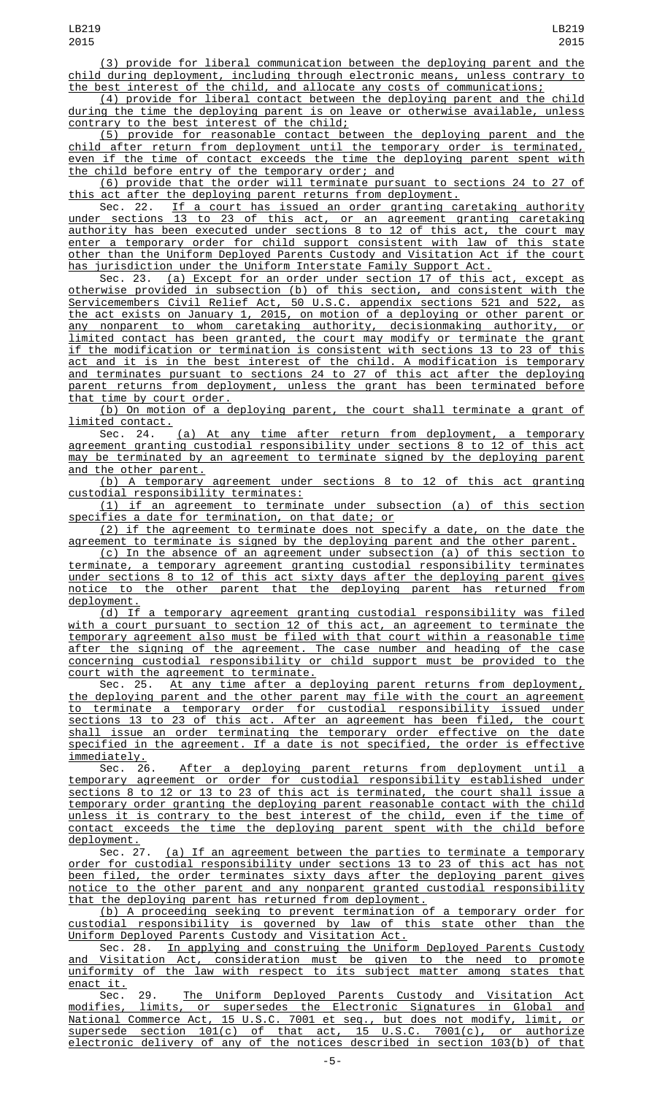(3) provide for liberal communication between the deploying parent and the child during deployment, including through electronic means, unless contrary to the best interest of the child, and allocate any costs of communications;

(4) provide for liberal contact between the deploying parent and the child during the time the deploying parent is on leave or otherwise available, unless contrary to the best interest of the child;

(5) provide for reasonable contact between the deploying parent and the child after return from deployment until the temporary order is terminated, even if the time of contact exceeds the time the deploying parent spent with the child before entry of the temporary order; and

(6) provide that the order will terminate pursuant to sections 24 to 27 of this act after the deploying parent returns from deployment.

Sec. 22. If a court has issued an order granting caretaking authority under sections 13 to 23 of this act, or an agreement granting caretaking authority has been executed under sections 8 to 12 of this act, the court may enter a temporary order for child support consistent with law of this state other than the Uniform Deployed Parents Custody and Visitation Act if the court has jurisdiction under the Uniform Interstate Family Support Act.

Sec. 23. (a) Except for an order under section 17 of this act, except as otherwise provided in subsection (b) of this section, and consistent with the Servicemembers Civil Relief Act, 50 U.S.C. appendix sections 521 and 522, as the act exists on January 1, 2015, on motion of a deploying or other parent or any nonparent to whom caretaking authority, decisionmaking authority, or limited contact has been granted, the court may modify or terminate the grant if the modification or termination is consistent with sections 13 to 23 of this act and it is in the best interest of the child. A modification is temporary and terminates pursuant to sections 24 to 27 of this act after the deploying parent returns from deployment, unless the grant has been terminated before that time by court order.

(b) On motion of a deploying parent, the court shall terminate a grant of limited contact.

Sec. 24. <u>(a) At any time after return from deployment, a temporary</u> agreement granting custodial responsibility under sections 8 to 12 of this act may be terminated by an agreement to terminate signed by the deploying parent and the other parent.

(b) A temporary agreement under sections 8 to 12 of this act granting custodial responsibility terminates:

(1) if an agreement to terminate under subsection (a) of this section specifies a date for termination, on that date; or

(2) if the agreement to terminate does not specify a date, on the date the agreement to terminate is signed by the deploying parent and the other parent.

(c) In the absence of an agreement under subsection (a) of this section to terminate, a temporary agreement granting custodial responsibility terminates under sections 8 to 12 of this act sixty days after the deploying parent gives notice to the other parent that the deploying parent has returned from deployment.

(d) If a temporary agreement granting custodial responsibility was filed a court pursuant to section 12 of this act, an agreement to terminate the temporary agreement also must be filed with that court within a reasonable time after the signing of the agreement. The case number and heading of the case concerning custodial responsibility or child support must be provided to the court with the agreement to terminate.

Sec. 25. At any time after a deploying parent returns from deployment, the deploying parent and the other parent may file with the court an agreement to terminate a temporary order for custodial responsibility issued under sections 13 to 23 of this act. After an agreement has been filed, the court shall issue an order terminating the temporary order effective on the date specified in the agreement. If a date is not specified, the order is effective

immediately.<br>Sec. 26. Sec. 26. After a deploying parent returns from deployment until a temporary agreement or order for custodial responsibility established under sections 8 to 12 or 13 to 23 of this act is terminated, the court shall issue a temporary order granting the deploying parent reasonable contact with the child unless it is contrary to the best interest of the child, even if the time of contact exceeds the time the deploying parent spent with the child before

deployment.<br>Sec. 27. (a) If an agreement between the parties to terminate a temporary order for custodial responsibility under sections 13 to 23 of this act has not been filed, the order terminates sixty days after the deploying parent gives notice to the other parent and any nonparent granted custodial responsibility that the deploying parent has returned from deployment.

(b) A proceeding seeking to prevent termination of a temporary order for custodial responsibility is governed by law of this state other than the Uniform Deployed Parents Custody and Visitation Act.

Sec. 28. In applying and construing the Uniform Deployed Parents Custody and Visitation Act, consideration must be given to the need to promote uniformity of the law with respect to its subject matter among states that enact it.

Sec. 29. The Uniform Deployed Parents Custody and Visitation Act modifies, limits, or supersedes the Electronic Signatures in Global and National Commerce Act, 15 U.S.C. 7001 et seq., but does not modify, limit, or supersede section 101(c) of that act, 15 U.S.C. 7001(c), or authorize electronic delivery of any of the notices described in section 103(b) of that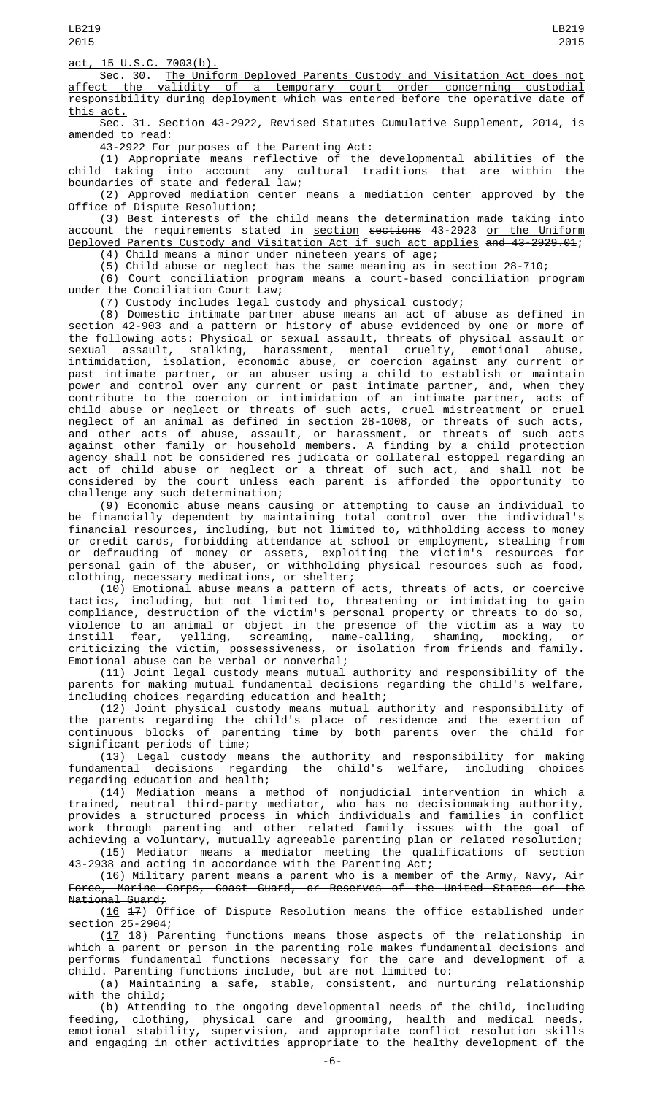LB219 2015

Sec. 30. The Uniform Deployed Parents Custody and Visitation Act does not affect the validity of a temporary court order concerning custodial responsibility during deployment which was entered before the operative date of this act.

LB219 2015

Sec. 31. Section 43-2922, Revised Statutes Cumulative Supplement, 2014, is amended to read:

43-2922 For purposes of the Parenting Act:

(1) Appropriate means reflective of the developmental abilities of the child taking into account any cultural traditions that are within the boundaries of state and federal law;

(2) Approved mediation center means a mediation center approved by the Office of Dispute Resolution;

(3) Best interests of the child means the determination made taking into account the requirements stated in <u>section</u> <del>sections</del> 43-2923 <u>or the Uniform</u> Deployed Parents Custody and Visitation Act if such act applies and 43-2929.01;

(4) Child means a minor under nineteen years of age;

(5) Child abuse or neglect has the same meaning as in section 28-710;

(6) Court conciliation program means a court-based conciliation program under the Conciliation Court Law;

(7) Custody includes legal custody and physical custody;

(8) Domestic intimate partner abuse means an act of abuse as defined in section 42-903 and a pattern or history of abuse evidenced by one or more of the following acts: Physical or sexual assault, threats of physical assault or sexual assault, stalking, harassment, mental cruelty, emotional abuse, intimidation, isolation, economic abuse, or coercion against any current or past intimate partner, or an abuser using a child to establish or maintain power and control over any current or past intimate partner, and, when they contribute to the coercion or intimidation of an intimate partner, acts of child abuse or neglect or threats of such acts, cruel mistreatment or cruel neglect of an animal as defined in section 28-1008, or threats of such acts, and other acts of abuse, assault, or harassment, or threats of such acts against other family or household members. A finding by a child protection agency shall not be considered res judicata or collateral estoppel regarding an act of child abuse or neglect or a threat of such act, and shall not be considered by the court unless each parent is afforded the opportunity to challenge any such determination;

(9) Economic abuse means causing or attempting to cause an individual to be financially dependent by maintaining total control over the individual's financial resources, including, but not limited to, withholding access to money or credit cards, forbidding attendance at school or employment, stealing from or defrauding of money or assets, exploiting the victim's resources for personal gain of the abuser, or withholding physical resources such as food, clothing, necessary medications, or shelter;

(10) Emotional abuse means a pattern of acts, threats of acts, or coercive tactics, including, but not limited to, threatening or intimidating to gain compliance, destruction of the victim's personal property or threats to do so, violence to an animal or object in the presence of the victim as a way to instill fear, yelling, screaming, name-calling, shaming, mocking, or criticizing the victim, possessiveness, or isolation from friends and family. Emotional abuse can be verbal or nonverbal;

(11) Joint legal custody means mutual authority and responsibility of the parents for making mutual fundamental decisions regarding the child's welfare, including choices regarding education and health;

(12) Joint physical custody means mutual authority and responsibility of the parents regarding the child's place of residence and the exertion of continuous blocks of parenting time by both parents over the child for significant periods of time;

(13) Legal custody means the authority and responsibility for making fundamental decisions regarding the child's welfare, including choices regarding education and health;

(14) Mediation means a method of nonjudicial intervention in which a trained, neutral third-party mediator, who has no decisionmaking authority, provides a structured process in which individuals and families in conflict work through parenting and other related family issues with the goal of achieving a voluntary, mutually agreeable parenting plan or related resolution; (15) Mediator means a mediator meeting the qualifications of section

43-2938 and acting in accordance with the Parenting Act;

(16) Military parent means a parent who is a member of the Army, Navy, Air Force, Marine Corps, Coast Guard, or Reserves of the United States or the National Guard;

(16 17) Office of Dispute Resolution means the office established under section  $25 - 2904$ ;

(17 18) Parenting functions means those aspects of the relationship in which a parent or person in the parenting role makes fundamental decisions and performs fundamental functions necessary for the care and development of a child. Parenting functions include, but are not limited to:

(a) Maintaining a safe, stable, consistent, and nurturing relationship with the child;

(b) Attending to the ongoing developmental needs of the child, including feeding, clothing, physical care and grooming, health and medical needs, emotional stability, supervision, and appropriate conflict resolution skills and engaging in other activities appropriate to the healthy development of the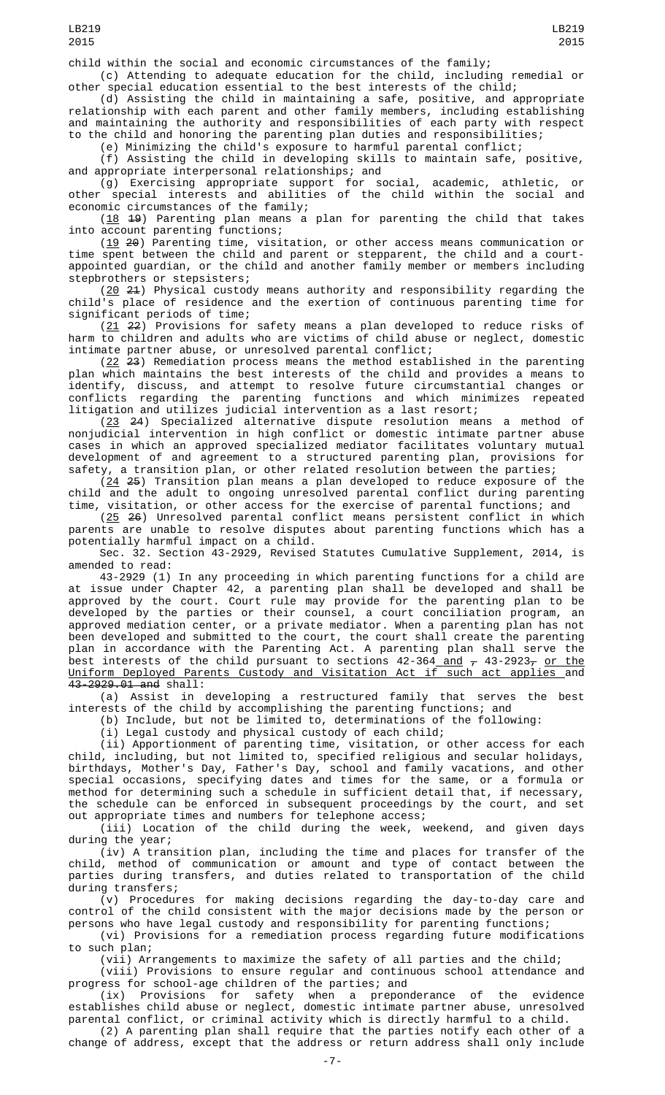child within the social and economic circumstances of the family;

(c) Attending to adequate education for the child, including remedial or other special education essential to the best interests of the child;

(d) Assisting the child in maintaining a safe, positive, and appropriate relationship with each parent and other family members, including establishing and maintaining the authority and responsibilities of each party with respect to the child and honoring the parenting plan duties and responsibilities;

(e) Minimizing the child's exposure to harmful parental conflict;

(f) Assisting the child in developing skills to maintain safe, positive, and appropriate interpersonal relationships; and

(g) Exercising appropriate support for social, academic, athletic, or other special interests and abilities of the child within the social and economic circumstances of the family;

 $(18 \t 19)$  Parenting plan means a plan for parenting the child that takes into account parenting functions;

(19 20) Parenting time, visitation, or other access means communication or time spent between the child and parent or stepparent, the child and a courtappointed guardian, or the child and another family member or members including stepbrothers or stepsisters;

 $(20, 21)$  Physical custody means authority and responsibility regarding the child's place of residence and the exertion of continuous parenting time for significant periods of time;

(21 22) Provisions for safety means a plan developed to reduce risks of harm to children and adults who are victims of child abuse or neglect, domestic intimate partner abuse, or unresolved parental conflict;

(22 23) Remediation process means the method established in the parenting plan which maintains the best interests of the child and provides a means to identify, discuss, and attempt to resolve future circumstantial changes or conflicts regarding the parenting functions and which minimizes repeated litigation and utilizes judicial intervention as a last resort;

(23 24) Specialized alternative dispute resolution means a method of nonjudicial intervention in high conflict or domestic intimate partner abuse cases in which an approved specialized mediator facilitates voluntary mutual development of and agreement to a structured parenting plan, provisions for safety, a transition plan, or other related resolution between the parties;

 $(24, 25)$  Transition plan means a plan developed to reduce exposure of the child and the adult to ongoing unresolved parental conflict during parenting time, visitation, or other access for the exercise of parental functions; and

(25 26) Unresolved parental conflict means persistent conflict in which parents are unable to resolve disputes about parenting functions which has a potentially harmful impact on a child.

Sec. 32. Section 43-2929, Revised Statutes Cumulative Supplement, 2014, is amended to read:

43-2929 (1) In any proceeding in which parenting functions for a child are at issue under Chapter 42, a parenting plan shall be developed and shall be approved by the court. Court rule may provide for the parenting plan to be developed by the parties or their counsel, a court conciliation program, an approved mediation center, or a private mediator. When a parenting plan has not been developed and submitted to the court, the court shall create the parenting plan in accordance with the Parenting Act. A parenting plan shall serve the best interests of the child pursuant to sections 42-364 <u>and</u>  $_{\mathcal{T}}$  43-2923 $_{\mathcal{T}}$  <u>or the</u> Uniform Deployed Parents Custody and Visitation Act if such act applies and 43-2929.01 and shall:

(a) Assist in developing a restructured family that serves the best interests of the child by accomplishing the parenting functions; and

(b) Include, but not be limited to, determinations of the following:

(i) Legal custody and physical custody of each child;

(ii) Apportionment of parenting time, visitation, or other access for each child, including, but not limited to, specified religious and secular holidays, birthdays, Mother's Day, Father's Day, school and family vacations, and other special occasions, specifying dates and times for the same, or a formula or method for determining such a schedule in sufficient detail that, if necessary, the schedule can be enforced in subsequent proceedings by the court, and set out appropriate times and numbers for telephone access;

(iii) Location of the child during the week, weekend, and given days during the year;

(iv) A transition plan, including the time and places for transfer of the child, method of communication or amount and type of contact between the parties during transfers, and duties related to transportation of the child during transfers;

(v) Procedures for making decisions regarding the day-to-day care and control of the child consistent with the major decisions made by the person or persons who have legal custody and responsibility for parenting functions;

(vi) Provisions for a remediation process regarding future modifications to such plan;

(vii) Arrangements to maximize the safety of all parties and the child;

(viii) Provisions to ensure regular and continuous school attendance and progress for school-age children of the parties; and

(ix) Provisions for safety when a preponderance of the evidence establishes child abuse or neglect, domestic intimate partner abuse, unresolved parental conflict, or criminal activity which is directly harmful to a child.

(2) A parenting plan shall require that the parties notify each other of a change of address, except that the address or return address shall only include